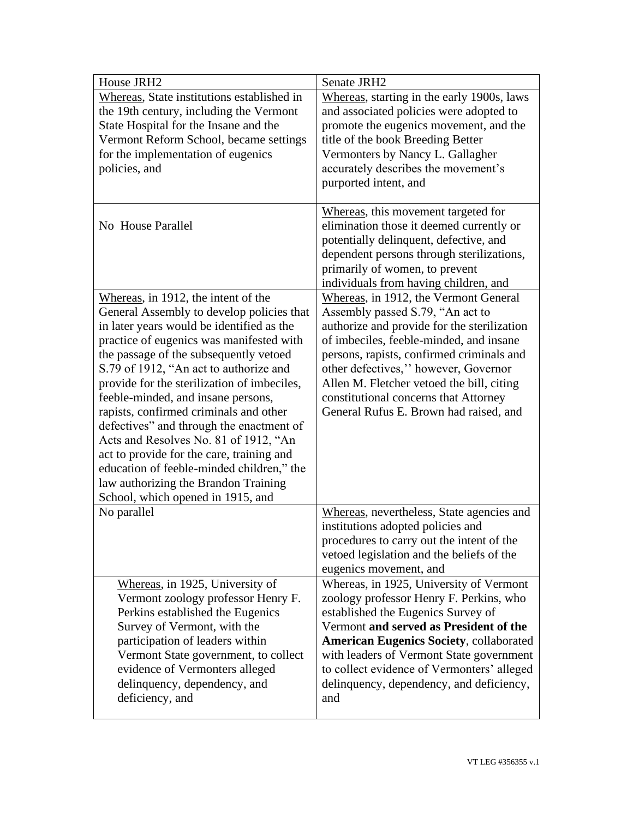| House JRH2                                                                                                                                                                                                                                                                                                                                                                                                                                                                                                                                                                                                          | Senate JRH2                                                                                                                                                                                                                                                                                                                                                                              |
|---------------------------------------------------------------------------------------------------------------------------------------------------------------------------------------------------------------------------------------------------------------------------------------------------------------------------------------------------------------------------------------------------------------------------------------------------------------------------------------------------------------------------------------------------------------------------------------------------------------------|------------------------------------------------------------------------------------------------------------------------------------------------------------------------------------------------------------------------------------------------------------------------------------------------------------------------------------------------------------------------------------------|
| Whereas, State institutions established in                                                                                                                                                                                                                                                                                                                                                                                                                                                                                                                                                                          | Whereas, starting in the early 1900s, laws                                                                                                                                                                                                                                                                                                                                               |
| the 19th century, including the Vermont                                                                                                                                                                                                                                                                                                                                                                                                                                                                                                                                                                             | and associated policies were adopted to                                                                                                                                                                                                                                                                                                                                                  |
| State Hospital for the Insane and the                                                                                                                                                                                                                                                                                                                                                                                                                                                                                                                                                                               | promote the eugenics movement, and the                                                                                                                                                                                                                                                                                                                                                   |
| Vermont Reform School, became settings                                                                                                                                                                                                                                                                                                                                                                                                                                                                                                                                                                              | title of the book Breeding Better                                                                                                                                                                                                                                                                                                                                                        |
| for the implementation of eugenics                                                                                                                                                                                                                                                                                                                                                                                                                                                                                                                                                                                  | Vermonters by Nancy L. Gallagher                                                                                                                                                                                                                                                                                                                                                         |
| policies, and                                                                                                                                                                                                                                                                                                                                                                                                                                                                                                                                                                                                       | accurately describes the movement's                                                                                                                                                                                                                                                                                                                                                      |
|                                                                                                                                                                                                                                                                                                                                                                                                                                                                                                                                                                                                                     | purported intent, and                                                                                                                                                                                                                                                                                                                                                                    |
| No House Parallel                                                                                                                                                                                                                                                                                                                                                                                                                                                                                                                                                                                                   | Whereas, this movement targeted for<br>elimination those it deemed currently or<br>potentially delinquent, defective, and<br>dependent persons through sterilizations,<br>primarily of women, to prevent<br>individuals from having children, and                                                                                                                                        |
| Whereas, in 1912, the intent of the<br>General Assembly to develop policies that<br>in later years would be identified as the<br>practice of eugenics was manifested with<br>the passage of the subsequently vetoed<br>S.79 of 1912, "An act to authorize and<br>provide for the sterilization of imbeciles,<br>feeble-minded, and insane persons,<br>rapists, confirmed criminals and other<br>defectives" and through the enactment of<br>Acts and Resolves No. 81 of 1912, "An<br>act to provide for the care, training and<br>education of feeble-minded children," the<br>law authorizing the Brandon Training | Whereas, in 1912, the Vermont General<br>Assembly passed S.79, "An act to<br>authorize and provide for the sterilization<br>of imbeciles, feeble-minded, and insane<br>persons, rapists, confirmed criminals and<br>other defectives," however, Governor<br>Allen M. Fletcher vetoed the bill, citing<br>constitutional concerns that Attorney<br>General Rufus E. Brown had raised, and |
| School, which opened in 1915, and<br>No parallel                                                                                                                                                                                                                                                                                                                                                                                                                                                                                                                                                                    | Whereas, nevertheless, State agencies and<br>institutions adopted policies and<br>procedures to carry out the intent of the<br>vetoed legislation and the beliefs of the<br>eugenics movement, and                                                                                                                                                                                       |
| Whereas, in 1925, University of<br>Vermont zoology professor Henry F.<br>Perkins established the Eugenics<br>Survey of Vermont, with the<br>participation of leaders within<br>Vermont State government, to collect<br>evidence of Vermonters alleged<br>delinquency, dependency, and<br>deficiency, and                                                                                                                                                                                                                                                                                                            | Whereas, in 1925, University of Vermont<br>zoology professor Henry F. Perkins, who<br>established the Eugenics Survey of<br>Vermont and served as President of the<br><b>American Eugenics Society, collaborated</b><br>with leaders of Vermont State government<br>to collect evidence of Vermonters' alleged<br>delinquency, dependency, and deficiency,<br>and                        |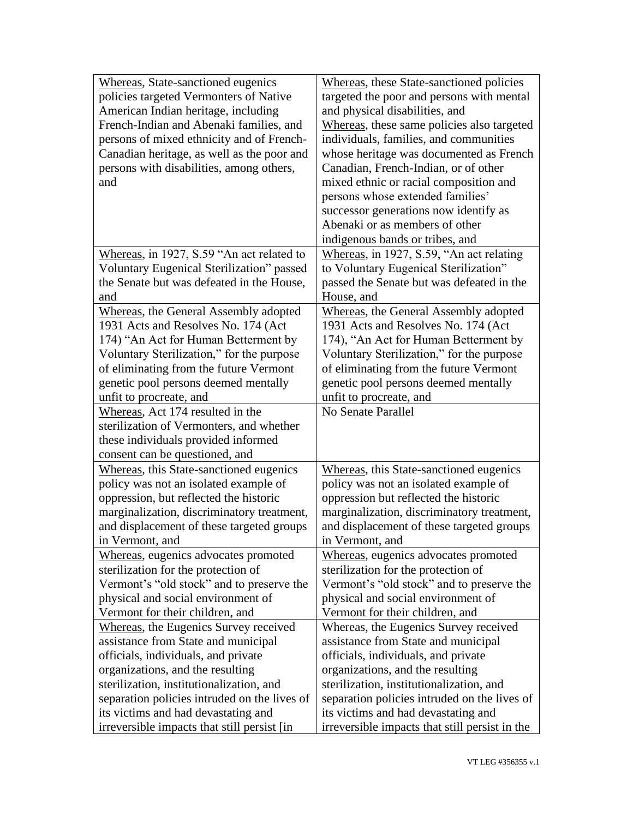| Whereas, State-sanctioned eugenics                                                 | Whereas, these State-sanctioned policies                                              |
|------------------------------------------------------------------------------------|---------------------------------------------------------------------------------------|
| policies targeted Vermonters of Native                                             | targeted the poor and persons with mental                                             |
| American Indian heritage, including                                                | and physical disabilities, and                                                        |
| French-Indian and Abenaki families, and                                            | Whereas, these same policies also targeted                                            |
| persons of mixed ethnicity and of French-                                          | individuals, families, and communities                                                |
| Canadian heritage, as well as the poor and                                         | whose heritage was documented as French                                               |
| persons with disabilities, among others,                                           | Canadian, French-Indian, or of other                                                  |
| and                                                                                | mixed ethnic or racial composition and                                                |
|                                                                                    | persons whose extended families'                                                      |
|                                                                                    | successor generations now identify as                                                 |
|                                                                                    | Abenaki or as members of other                                                        |
|                                                                                    |                                                                                       |
|                                                                                    | indigenous bands or tribes, and                                                       |
| Whereas, in 1927, S.59 "An act related to                                          | Whereas, in 1927, S.59, "An act relating                                              |
| Voluntary Eugenical Sterilization" passed                                          | to Voluntary Eugenical Sterilization"                                                 |
| the Senate but was defeated in the House,                                          | passed the Senate but was defeated in the                                             |
| and                                                                                | House, and                                                                            |
| Whereas, the General Assembly adopted                                              | Whereas, the General Assembly adopted                                                 |
| 1931 Acts and Resolves No. 174 (Act                                                | 1931 Acts and Resolves No. 174 (Act                                                   |
| 174) "An Act for Human Betterment by                                               | 174), "An Act for Human Betterment by                                                 |
| Voluntary Sterilization," for the purpose                                          | Voluntary Sterilization," for the purpose                                             |
| of eliminating from the future Vermont                                             | of eliminating from the future Vermont                                                |
| genetic pool persons deemed mentally                                               | genetic pool persons deemed mentally                                                  |
| unfit to procreate, and                                                            | unfit to procreate, and                                                               |
|                                                                                    |                                                                                       |
| Whereas, Act 174 resulted in the                                                   | No Senate Parallel                                                                    |
| sterilization of Vermonters, and whether                                           |                                                                                       |
| these individuals provided informed                                                |                                                                                       |
| consent can be questioned, and                                                     |                                                                                       |
|                                                                                    |                                                                                       |
| Whereas, this State-sanctioned eugenics                                            | Whereas, this State-sanctioned eugenics                                               |
| policy was not an isolated example of                                              | policy was not an isolated example of                                                 |
| oppression, but reflected the historic                                             | oppression but reflected the historic                                                 |
| marginalization, discriminatory treatment,                                         | marginalization, discriminatory treatment,                                            |
| and displacement of these targeted groups                                          | and displacement of these targeted groups                                             |
| in Vermont, and                                                                    | in Vermont, and                                                                       |
| Whereas, eugenics advocates promoted                                               | Whereas, eugenics advocates promoted                                                  |
| sterilization for the protection of                                                | sterilization for the protection of                                                   |
| Vermont's "old stock" and to preserve the                                          | Vermont's "old stock" and to preserve the                                             |
| physical and social environment of                                                 | physical and social environment of                                                    |
| Vermont for their children, and                                                    | Vermont for their children, and                                                       |
| <b>Whereas, the Eugenics Survey received</b>                                       | Whereas, the Eugenics Survey received                                                 |
| assistance from State and municipal                                                | assistance from State and municipal                                                   |
| officials, individuals, and private                                                | officials, individuals, and private                                                   |
| organizations, and the resulting                                                   | organizations, and the resulting                                                      |
| sterilization, institutionalization, and                                           | sterilization, institutionalization, and                                              |
| separation policies intruded on the lives of                                       | separation policies intruded on the lives of                                          |
| its victims and had devastating and<br>irreversible impacts that still persist [in | its victims and had devastating and<br>irreversible impacts that still persist in the |